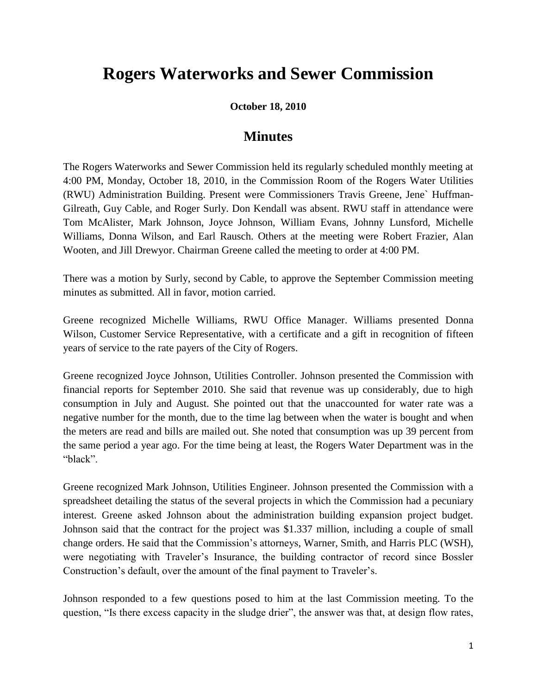## **Rogers Waterworks and Sewer Commission**

**October 18, 2010**

## **Minutes**

The Rogers Waterworks and Sewer Commission held its regularly scheduled monthly meeting at 4:00 PM, Monday, October 18, 2010, in the Commission Room of the Rogers Water Utilities (RWU) Administration Building. Present were Commissioners Travis Greene, Jene` Huffman-Gilreath, Guy Cable, and Roger Surly. Don Kendall was absent. RWU staff in attendance were Tom McAlister, Mark Johnson, Joyce Johnson, William Evans, Johnny Lunsford, Michelle Williams, Donna Wilson, and Earl Rausch. Others at the meeting were Robert Frazier, Alan Wooten, and Jill Drewyor. Chairman Greene called the meeting to order at 4:00 PM.

There was a motion by Surly, second by Cable, to approve the September Commission meeting minutes as submitted. All in favor, motion carried.

Greene recognized Michelle Williams, RWU Office Manager. Williams presented Donna Wilson, Customer Service Representative, with a certificate and a gift in recognition of fifteen years of service to the rate payers of the City of Rogers.

Greene recognized Joyce Johnson, Utilities Controller. Johnson presented the Commission with financial reports for September 2010. She said that revenue was up considerably, due to high consumption in July and August. She pointed out that the unaccounted for water rate was a negative number for the month, due to the time lag between when the water is bought and when the meters are read and bills are mailed out. She noted that consumption was up 39 percent from the same period a year ago. For the time being at least, the Rogers Water Department was in the "black".

Greene recognized Mark Johnson, Utilities Engineer. Johnson presented the Commission with a spreadsheet detailing the status of the several projects in which the Commission had a pecuniary interest. Greene asked Johnson about the administration building expansion project budget. Johnson said that the contract for the project was \$1.337 million, including a couple of small change orders. He said that the Commission's attorneys, Warner, Smith, and Harris PLC (WSH), were negotiating with Traveler's Insurance, the building contractor of record since Bossler Construction's default, over the amount of the final payment to Traveler's.

Johnson responded to a few questions posed to him at the last Commission meeting. To the question, "Is there excess capacity in the sludge drier", the answer was that, at design flow rates,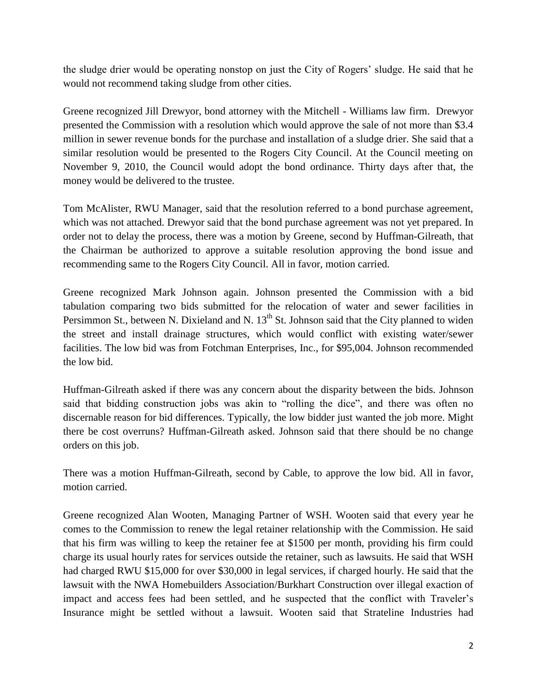the sludge drier would be operating nonstop on just the City of Rogers' sludge. He said that he would not recommend taking sludge from other cities.

Greene recognized Jill Drewyor, bond attorney with the Mitchell - Williams law firm. Drewyor presented the Commission with a resolution which would approve the sale of not more than \$3.4 million in sewer revenue bonds for the purchase and installation of a sludge drier. She said that a similar resolution would be presented to the Rogers City Council. At the Council meeting on November 9, 2010, the Council would adopt the bond ordinance. Thirty days after that, the money would be delivered to the trustee.

Tom McAlister, RWU Manager, said that the resolution referred to a bond purchase agreement, which was not attached. Drewyor said that the bond purchase agreement was not yet prepared. In order not to delay the process, there was a motion by Greene, second by Huffman-Gilreath, that the Chairman be authorized to approve a suitable resolution approving the bond issue and recommending same to the Rogers City Council. All in favor, motion carried.

Greene recognized Mark Johnson again. Johnson presented the Commission with a bid tabulation comparing two bids submitted for the relocation of water and sewer facilities in Persimmon St., between N. Dixieland and N.  $13<sup>th</sup>$  St. Johnson said that the City planned to widen the street and install drainage structures, which would conflict with existing water/sewer facilities. The low bid was from Fotchman Enterprises, Inc., for \$95,004. Johnson recommended the low bid.

Huffman-Gilreath asked if there was any concern about the disparity between the bids. Johnson said that bidding construction jobs was akin to "rolling the dice", and there was often no discernable reason for bid differences. Typically, the low bidder just wanted the job more. Might there be cost overruns? Huffman-Gilreath asked. Johnson said that there should be no change orders on this job.

There was a motion Huffman-Gilreath, second by Cable, to approve the low bid. All in favor, motion carried.

Greene recognized Alan Wooten, Managing Partner of WSH. Wooten said that every year he comes to the Commission to renew the legal retainer relationship with the Commission. He said that his firm was willing to keep the retainer fee at \$1500 per month, providing his firm could charge its usual hourly rates for services outside the retainer, such as lawsuits. He said that WSH had charged RWU \$15,000 for over \$30,000 in legal services, if charged hourly. He said that the lawsuit with the NWA Homebuilders Association/Burkhart Construction over illegal exaction of impact and access fees had been settled, and he suspected that the conflict with Traveler's Insurance might be settled without a lawsuit. Wooten said that Strateline Industries had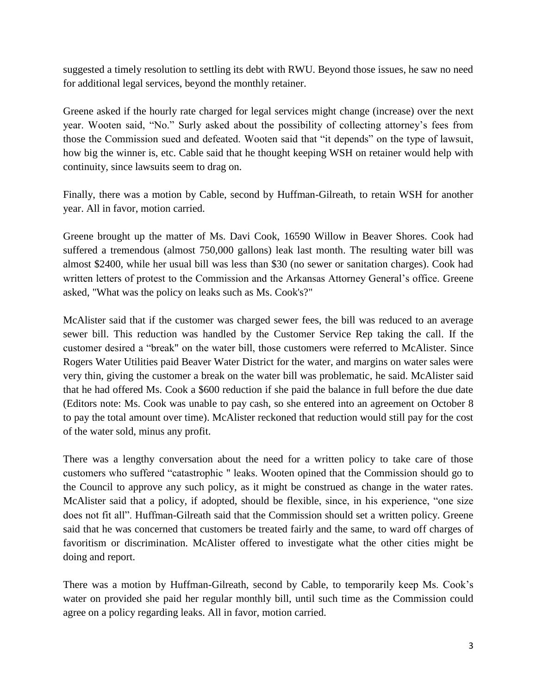suggested a timely resolution to settling its debt with RWU. Beyond those issues, he saw no need for additional legal services, beyond the monthly retainer.

Greene asked if the hourly rate charged for legal services might change (increase) over the next year. Wooten said, "No." Surly asked about the possibility of collecting attorney's fees from those the Commission sued and defeated. Wooten said that "it depends" on the type of lawsuit, how big the winner is, etc. Cable said that he thought keeping WSH on retainer would help with continuity, since lawsuits seem to drag on.

Finally, there was a motion by Cable, second by Huffman-Gilreath, to retain WSH for another year. All in favor, motion carried.

Greene brought up the matter of Ms. Davi Cook, 16590 Willow in Beaver Shores. Cook had suffered a tremendous (almost 750,000 gallons) leak last month. The resulting water bill was almost \$2400, while her usual bill was less than \$30 (no sewer or sanitation charges). Cook had written letters of protest to the Commission and the Arkansas Attorney General's office. Greene asked, "What was the policy on leaks such as Ms. Cook's?"

McAlister said that if the customer was charged sewer fees, the bill was reduced to an average sewer bill. This reduction was handled by the Customer Service Rep taking the call. If the customer desired a "break" on the water bill, those customers were referred to McAlister. Since Rogers Water Utilities paid Beaver Water District for the water, and margins on water sales were very thin, giving the customer a break on the water bill was problematic, he said. McAlister said that he had offered Ms. Cook a \$600 reduction if she paid the balance in full before the due date (Editors note: Ms. Cook was unable to pay cash, so she entered into an agreement on October 8 to pay the total amount over time). McAlister reckoned that reduction would still pay for the cost of the water sold, minus any profit.

There was a lengthy conversation about the need for a written policy to take care of those customers who suffered "catastrophic " leaks. Wooten opined that the Commission should go to the Council to approve any such policy, as it might be construed as change in the water rates. McAlister said that a policy, if adopted, should be flexible, since, in his experience, "one size does not fit all". Huffman-Gilreath said that the Commission should set a written policy. Greene said that he was concerned that customers be treated fairly and the same, to ward off charges of favoritism or discrimination. McAlister offered to investigate what the other cities might be doing and report.

There was a motion by Huffman-Gilreath, second by Cable, to temporarily keep Ms. Cook's water on provided she paid her regular monthly bill, until such time as the Commission could agree on a policy regarding leaks. All in favor, motion carried.